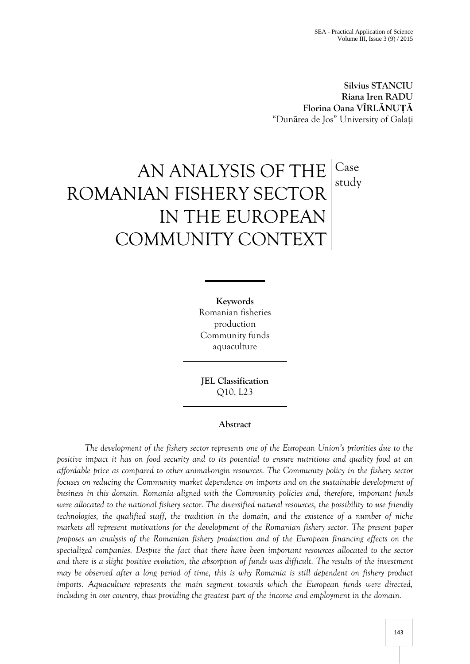**Silvius STANCIU Riana Iren RADU Florina Oana VÎRLĂNUȚĂ** "Dunărea de Jos" University of Galați

# AN ANALYSIS OF THE ROMANIAN FISHERY SECTOR IN THE EUROPEAN COMMUNITY CONTEXT Case study

**Keywords** Romanian fisheries production Community funds aquaculture

**JEL Classification** Q10, L23

# **Abstract**

*The development of the fishery sector represents one of the European Union's priorities due to the positive impact it has on food security and to its potential to ensure nutritious and quality food at an affordable price as compared to other animal-origin resources. The Community policy in the fishery sector focuses on reducing the Community market dependence on imports and on the sustainable development of business in this domain. Romania aligned with the Community policies and, therefore, important funds were allocated to the national fishery sector. The diversified natural resources, the possibility to use friendly technologies, the qualified staff, the tradition in the domain, and the existence of a number of niche markets all represent motivations for the development of the Romanian fishery sector. The present paper proposes an analysis of the Romanian fishery production and of the European financing effects on the specialized companies. Despite the fact that there have been important resources allocated to the sector and there is a slight positive evolution, the absorption of funds was difficult. The results of the investment may be observed after a long period of time, this is why Romania is still dependent on fishery product imports. Aquaculture represents the main segment towards which the European funds were directed, including in our country, thus providing the greatest part of the income and employment in the domain.*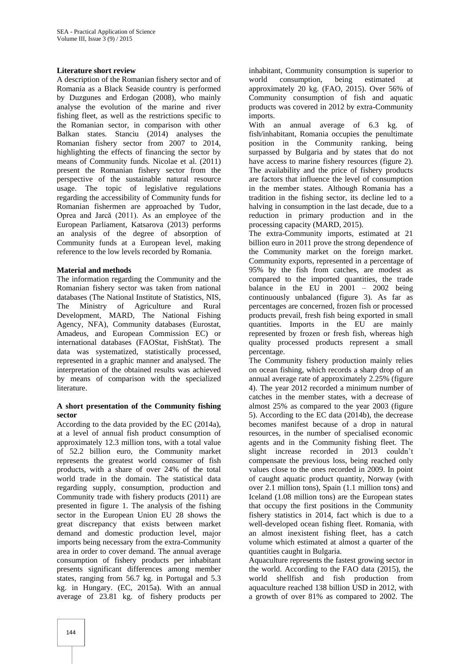#### **Literature short review**

A description of the Romanian fishery sector and of Romania as a Black Seaside country is performed by Duzgunes and Erdogan (2008), who mainly analyse the evolution of the marine and river fishing fleet, as well as the restrictions specific to the Romanian sector, in comparison with other Balkan states. Stanciu (2014) analyses the Romanian fishery sector from 2007 to 2014, highlighting the effects of financing the sector by means of Community funds. Nicolae et al. (2011) present the Romanian fishery sector from the perspective of the sustainable natural resource usage. The topic of legislative regulations regarding the accessibility of Community funds for Romanian fishermen are approached by Tudor, Oprea and Jarcă (2011). As an employee of the European Parliament, Katsarova (2013) performs an analysis of the degree of absorption of Community funds at a European level, making reference to the low levels recorded by Romania.

## **Material and methods**

The information regarding the Community and the Romanian fishery sector was taken from national databases (The National Institute of Statistics, NIS,<br>The Ministry of Agriculture and Rural The Ministry of Agriculture and Rural Development, MARD, The National Fishing Agency, NFA), Community databases (Eurostat, Amadeus, and European Commission EC) or international databases (FAOStat, FishStat). The data was systematized, statistically processed, represented in a graphic manner and analysed. The interpretation of the obtained results was achieved by means of comparison with the specialized literature.

## **A short presentation of the Community fishing sector**

According to the data provided by the EC (2014a), at a level of annual fish product consumption of approximately 12.3 million tons, with a total value of 52.2 billion euro, the Community market represents the greatest world consumer of fish products, with a share of over 24% of the total world trade in the domain. The statistical data regarding supply, consumption, production and Community trade with fishery products (2011) are presented in figure 1. The analysis of the fishing sector in the European Union EU 28 shows the great discrepancy that exists between market demand and domestic production level, major imports being necessary from the extra-Community area in order to cover demand. The annual average consumption of fishery products per inhabitant presents significant differences among member states, ranging from 56.7 kg. in Portugal and 5.3 kg. in Hungary. (EC, 2015a). With an annual average of 23.81 kg. of fishery products per

inhabitant, Community consumption is superior to world consumption, being estimated at approximately 20 kg. (FAO, 2015). Over 56% of Community consumption of fish and aquatic products was covered in 2012 by extra-Community imports.

With an annual average of 6.3 kg. of fish/inhabitant, Romania occupies the penultimate position in the Community ranking, being surpassed by Bulgaria and by states that do not have access to marine fishery resources (figure 2). The availability and the price of fishery products are factors that influence the level of consumption in the member states. Although Romania has a tradition in the fishing sector, its decline led to a halving in consumption in the last decade, due to a reduction in primary production and in the processing capacity (MARD, 2015).

The extra-Community imports, estimated at 21 billion euro in 2011 prove the strong dependence of the Community market on the foreign market. Community exports, represented in a percentage of 95% by the fish from catches, are modest as compared to the imported quantities, the trade balance in the EU in 2001 – 2002 being continuously unbalanced (figure 3). As far as percentages are concerned, frozen fish or processed products prevail, fresh fish being exported in small quantities. Imports in the EU are mainly represented by frozen or fresh fish, whereas high quality processed products represent a small percentage.

The Community fishery production mainly relies on ocean fishing, which records a sharp drop of an annual average rate of approximately 2.25% (figure 4). The year 2012 recorded a minimum number of catches in the member states, with a decrease of almost 25% as compared to the year 2003 (figure 5). According to the EC data (2014b), the decrease becomes manifest because of a drop in natural resources, in the number of specialised economic agents and in the Community fishing fleet. The slight increase recorded in 2013 couldn't compensate the previous loss, being reached only values close to the ones recorded in 2009. In point of caught aquatic product quantity, Norway (with over 2.1 million tons), Spain (1.1 million tons) and Iceland (1.08 million tons) are the European states that occupy the first positions in the Community fishery statistics in 2014, fact which is due to a well-developed ocean fishing fleet. Romania, with an almost inexistent fishing fleet, has a catch volume which estimated at almost a quarter of the quantities caught in Bulgaria.

Aquaculture represents the fastest growing sector in the world. According to the FAO data (2015), the world shellfish and fish production from aquaculture reached 138 billion USD in 2012, with a growth of over 81% as compared to 2002. The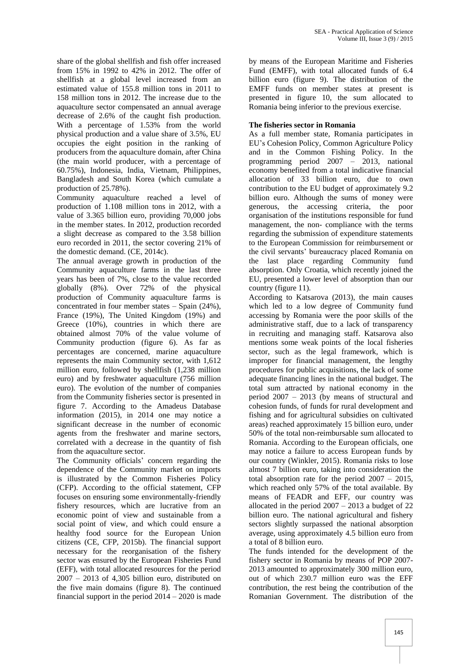share of the global shellfish and fish offer increased from 15% in 1992 to 42% in 2012. The offer of shellfish at a global level increased from an estimated value of 155.8 million tons in 2011 to 158 million tons in 2012. The increase due to the aquaculture sector compensated an annual average decrease of 2.6% of the caught fish production. With a percentage of 1.53% from the world physical production and a value share of 3.5%, EU occupies the eight position in the ranking of producers from the aquaculture domain, after China (the main world producer, with a percentage of 60.75%), Indonesia, India, Vietnam, Philippines, Bangladesh and South Korea (which cumulate a production of 25.78%).

Community aquaculture reached a level of production of 1.108 million tons in 2012, with a value of 3.365 billion euro, providing 70,000 jobs in the member states. In 2012, production recorded a slight decrease as compared to the 3.58 billion euro recorded in 2011, the sector covering 21% of the domestic demand. (CE, 2014c).

The annual average growth in production of the Community aquaculture farms in the last three years has been of 7%, close to the value recorded globally (8%). Over 72% of the physical production of Community aquaculture farms is concentrated in four member states – Spain (24%), France (19%), The United Kingdom (19%) and Greece (10%), countries in which there are obtained almost 70% of the value volume of Community production (figure 6). As far as percentages are concerned, marine aquaculture represents the main Community sector, with 1,612 million euro, followed by shellfish (1,238 million euro) and by freshwater aquaculture (756 million euro). The evolution of the number of companies from the Community fisheries sector is presented in figure 7. According to the Amadeus Database information (2015), in 2014 one may notice a significant decrease in the number of economic agents from the freshwater and marine sectors, correlated with a decrease in the quantity of fish from the aquaculture sector.

The Community officials' concern regarding the dependence of the Community market on imports is illustrated by the Common Fisheries Policy (CFP). According to the official statement, CFP focuses on ensuring some environmentally-friendly fishery resources, which are lucrative from an economic point of view and sustainable from a social point of view, and which could ensure a healthy food source for the European Union citizens (CE, CFP, 2015b). The financial support necessary for the reorganisation of the fishery sector was ensured by the European Fisheries Fund (EFF), with total allocated resources for the period  $2007 - 2013$  of 4,305 billion euro, distributed on the five main domains (figure 8). The continued financial support in the period  $2014 - 2020$  is made

by means of the European Maritime and Fisheries Fund (EMFF), with total allocated funds of 6.4 billion euro (figure 9). The distribution of the EMFF funds on member states at present is presented in figure 10, the sum allocated to Romania being inferior to the previous exercise.

## **The fisheries sector in Romania**

As a full member state, Romania participates in EU's Cohesion Policy, Common Agriculture Policy and in the Common Fishing Policy. In the programming period 2007 – 2013, national economy benefited from a total indicative financial allocation of 33 billion euro, due to own contribution to the EU budget of approximately 9.2 billion euro. Although the sums of money were generous, the accessing criteria, the poor organisation of the institutions responsible for fund management, the non- compliance with the terms regarding the submission of expenditure statements to the European Commission for reimbursement or the civil servants' bureaucracy placed Romania on the last place regarding Community fund absorption. Only Croatia, which recently joined the EU, presented a lower level of absorption than our country (figure 11).

According to Katsarova (2013), the main causes which led to a low degree of Community fund accessing by Romania were the poor skills of the administrative staff, due to a lack of transparency in recruiting and managing staff. Katsarova also mentions some weak points of the local fisheries sector, such as the legal framework, which is improper for financial management, the lengthy procedures for public acquisitions, the lack of some adequate financing lines in the national budget. The total sum attracted by national economy in the period 2007 – 2013 (by means of structural and cohesion funds, of funds for rural development and fishing and for agricultural subsidies on cultivated areas) reached approximately 15 billion euro, under 50% of the total non-reimbursable sum allocated to Romania. According to the European officials, one may notice a failure to access European funds by our country (Winkler, 2015). Romania risks to lose almost 7 billion euro, taking into consideration the total absorption rate for the period 2007 – 2015, which reached only 57% of the total available. By means of FEADR and EFF, our country was allocated in the period  $2007 - 2013$  a budget of 22 billion euro. The national agricultural and fishery sectors slightly surpassed the national absorption average, using approximately 4.5 billion euro from a total of 8 billion euro.

The funds intended for the development of the fishery sector in Romania by means of POP 2007- 2013 amounted to approximately 300 million euro, out of which 230.7 million euro was the EFF contribution, the rest being the contribution of the Romanian Government. The distribution of the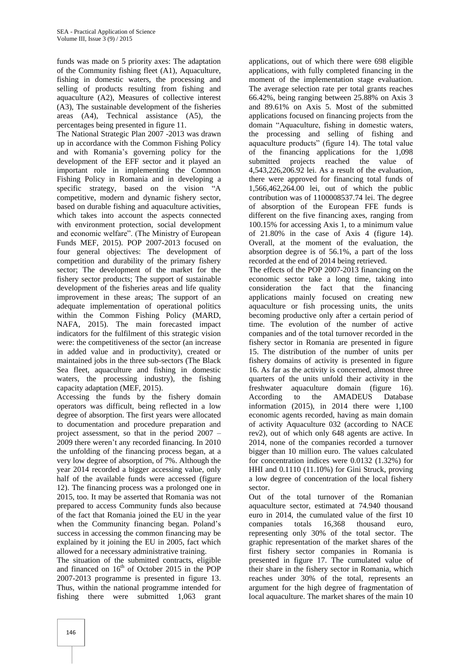funds was made on 5 priority axes: The adaptation of the Community fishing fleet (A1), Aquaculture, fishing in domestic waters, the processing and selling of products resulting from fishing and aquaculture (A2), Measures of collective interest (A3), The sustainable development of the fisheries areas (A4), Technical assistance (A5), the percentages being presented in figure 11.

The National Strategic Plan 2007 -2013 was drawn up in accordance with the Common Fishing Policy and with Romania's governing policy for the development of the EFF sector and it played an important role in implementing the Common Fishing Policy in Romania and in developing a specific strategy, based on the vision "A competitive, modern and dynamic fishery sector, based on durable fishing and aquaculture activities, which takes into account the aspects connected with environment protection, social development and economic welfare". (The Ministry of European Funds MEF, 2015). POP 2007-2013 focused on four general objectives: The development of competition and durability of the primary fishery sector; The development of the market for the fishery sector products; The support of sustainable development of the fisheries areas and life quality improvement in these areas; The support of an adequate implementation of operational politics within the Common Fishing Policy (MARD, NAFA, 2015). The main forecasted impact indicators for the fulfilment of this strategic vision were: the competitiveness of the sector (an increase in added value and in productivity), created or maintained jobs in the three sub-sectors (The Black Sea fleet, aquaculture and fishing in domestic waters, the processing industry), the fishing capacity adaptation (MEF, 2015).

Accessing the funds by the fishery domain operators was difficult, being reflected in a low degree of absorption. The first years were allocated to documentation and procedure preparation and project assessment, so that in the period 2007 – 2009 there weren't any recorded financing. In 2010 the unfolding of the financing process began, at a very low degree of absorption, of 7%. Although the year 2014 recorded a bigger accessing value, only half of the available funds were accessed (figure 12). The financing process was a prolonged one in 2015, too. It may be asserted that Romania was not prepared to access Community funds also because of the fact that Romania joined the EU in the year when the Community financing began. Poland's success in accessing the common financing may be explained by it joining the EU in 2005, fact which allowed for a necessary administrative training.

The situation of the submitted contracts, eligible and financed on  $16<sup>th</sup>$  of October 2015 in the POP 2007-2013 programme is presented in figure 13. Thus, within the national programme intended for fishing there were submitted 1,063 grant

applications, out of which there were 698 eligible applications, with fully completed financing in the moment of the implementation stage evaluation. The average selection rate per total grants reaches 66.42%, being ranging between 25.88% on Axis 3 and 89.61% on Axis 5. Most of the submitted applications focused on financing projects from the domain "Aquaculture, fishing in domestic waters, the processing and selling of fishing and aquaculture products" (figure 14). The total value of the financing applications for the 1,098 submitted projects reached the value of 4,543,226,206.92 lei. As a result of the evaluation, there were approved for financing total funds of 1,566,462,264.00 lei, out of which the public contribution was of 1100008537.74 lei. The degree of absorption of the European FFE funds is different on the five financing axes, ranging from 100.15% for accessing Axis 1, to a minimum value of 21.80% in the case of Axis 4 (figure 14). Overall, at the moment of the evaluation, the absorption degree is of 56.1%, a part of the loss recorded at the end of 2014 being retrieved.

The effects of the POP 2007-2013 financing on the economic sector take a long time, taking into consideration the fact that the financing applications mainly focused on creating new aquaculture or fish processing units, the units becoming productive only after a certain period of time. The evolution of the number of active companies and of the total turnover recorded in the fishery sector in Romania are presented in figure 15. The distribution of the number of units per fishery domains of activity is presented in figure 16. As far as the activity is concerned, almost three quarters of the units unfold their activity in the freshwater aquaculture domain (figure 16). According to the AMADEUS Database information (2015), in 2014 there were 1,100 economic agents recorded, having as main domain of activity Aquaculture 032 (according to NACE rev2), out of which only 648 agents are active. In 2014, none of the companies recorded a turnover bigger than 10 million euro. The values calculated for concentration indices were 0.0132 (1.32%) for HHI and 0.1110 (11.10%) for Gini Struck, proving a low degree of concentration of the local fishery sector.

Out of the total turnover of the Romanian aquaculture sector, estimated at 74.940 thousand euro in 2014, the cumulated value of the first 10 companies totals 16,368 thousand euro, representing only 30% of the total sector. The graphic representation of the market shares of the first fishery sector companies in Romania is presented in figure 17. The cumulated value of their share in the fishery sector in Romania, which reaches under 30% of the total, represents an argument for the high degree of fragmentation of local aquaculture. The market shares of the main 10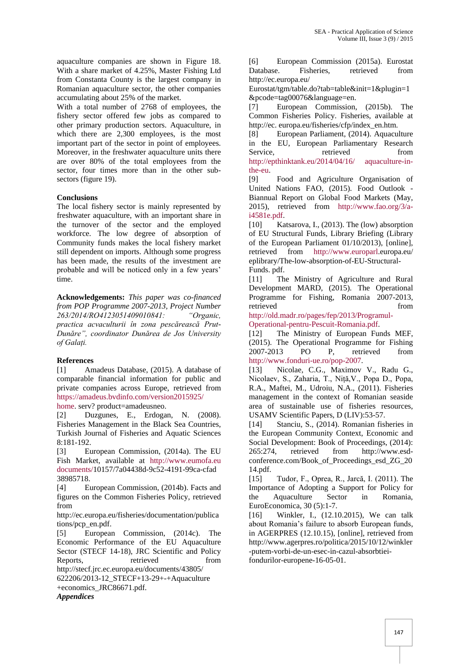aquaculture companies are shown in Figure 18. With a share market of 4.25%, Master Fishing Ltd from Constanta County is the largest company in Romanian aquaculture sector, the other companies accumulating about 25% of the market.

With a total number of 2768 of employees, the fishery sector offered few jobs as compared to other primary production sectors. Aquaculture, in which there are 2,300 employees, is the most important part of the sector in point of employees. Moreover, in the freshwater aquaculture units there are over 80% of the total employees from the sector, four times more than in the other subsectors (figure 19).

#### **Conclusions**

The local fishery sector is mainly represented by freshwater aquaculture, with an important share in the turnover of the sector and the employed workforce. The low degree of absorption of Community funds makes the local fishery market still dependent on imports. Although some progress has been made, the results of the investment are probable and will be noticed only in a few years' time.

**Acknowledgements:** *This paper was co-financed from POP Programme 2007-2013, Project Number 263/2014/RO4123051409010841: "Organic, practica acvaculturii în zona pescărească Prut-Dunăre", coordinator Dunărea de Jos University of Galați.*

# **References**

[1] Amadeus Database, (2015). A database of comparable financial information for public and private companies across Europe, retrieved from [https://amadeus.bvdinfo.com/version2015925/](https://amadeus.bvdinfo.com/version2015925/%20home) 

[home.](https://amadeus.bvdinfo.com/version2015925/%20home) serv? product=amadeusneo.

[2] Duzgunes, E., Erdogan, N. (2008). Fisheries Management in the Black Sea Countries, Turkish Journal of Fisheries and Aquatic Sciences 8:181-192.

[3] European Commission, (2014a). The EU Fish Market, available at http://www.eumofa.eu documents/10157/7a04438d-9c52-4191-99ca-cfad 38985718.

[4] European Commission, (2014b). Facts and figures on the Common Fisheries Policy, retrieved from

http://ec.europa.eu/fisheries/documentation/publica tions/pcp\_en.pdf.

[5] European Commission, (2014c). The Economic Performance of the EU Aquaculture Sector (STECF 14-18), JRC Scientific and Policy Reports. The retrieved from the from the retrieved from the retrieved from the retrieved from the retrieved from the retrieved from the retrieved from the retrieved from the retrieved of the retrieved from the retrieved of http://stecf.jrc.ec.europa.eu/documents/43805/

622206/2013-12\_STECF+13-29+-+Aquaculture +economics\_JRC86671.pdf.

*Appendices* 

[6] European Commission (2015a). Eurostat Database. Fisheries, retrieved from http://ec.europa.eu/

Eurostat/tgm/table.do?tab=table&init=1&plugin=1 &pcode=tag00076&language=en.

[7] European Commission, (2015b). The Common Fisheries Policy. Fisheries, available at http://ec. europa.eu/fisheries/cfp/index\_en.htm.

[8] European Parliament, (2014). Aquaculture in the EU, European Parliamentary Research Service, retrieved from [http://epthinktank.eu/2014/04/16/ aquaculture-in](http://epthinktank.eu/2014/04/16/%20aquaculture-in-the-eu)[the-eu.](http://epthinktank.eu/2014/04/16/%20aquaculture-in-the-eu)

[9] Food and Agriculture Organisation of United Nations FAO, (2015). Food Outlook - Biannual Report on Global Food Markets (May, 2015), retrieved from [http://www.fao.org/3/a](http://www.fao.org/3/a-i4581e.pdf)[i4581e.pdf.](http://www.fao.org/3/a-i4581e.pdf)

[10] Katsarova, I., (2013). The (low) absorption of EU Structural Funds, Library Briefing (Library of the European Parliament 01/10/2013), [online], retrieved from [http://www.europarl.](http://www.europarl/)europa.eu/ eplibrary/The-low-absorption-of-EU-Structural-Funds. pdf.

[11] The Ministry of Agriculture and Rural Development MARD, (2015). The Operational Programme for Fishing, Romania 2007-2013, retrieved from  $\sim$ 

[http://old.madr.ro/pages/fep/2013/Programul-](http://old.madr.ro/pages/fep/2013/Programul-Operational-pentru-Pescuit-Romania.pdf)[Operational-pentru-Pescuit-Romania.pdf.](http://old.madr.ro/pages/fep/2013/Programul-Operational-pentru-Pescuit-Romania.pdf)

[12] The Ministry of European Funds MEF, (2015). The Operational Programme for Fishing 2007-2013 PO P, retrieved from [http://www.fonduri-ue.ro/pop-2007.](http://www.fonduri-ue.ro/pop-2007)

[13] Nicolae, C.G., Maximov V., Radu G., Nicolaev, S., Zaharia, T., Niță,V., Popa D., Popa, R.A., Maftei, M., Udroiu, N.A., (2011). Fisheries management in the context of Romanian seaside area of sustainable use of fisheries resources, USAMV Scientific Papers, D (LIV):53-57.

[14] Stanciu, S., (2014). Romanian fisheries in the European Community Context, Economic and Social Development: Book of Proceedings, (2014): 265:274, retrieved from http://www.esdconference.com/Book of Proceedings esd ZG 20 14.pdf.

[15] Tudor, F., Oprea, R., Jarcă, I. (2011). The Importance of Adopting a Support for Policy for the Aquaculture Sector in Romania, EuroEconomica, 30 (5):1-7.

[16] Winkler, I., (12.10.2015), We can talk about Romania's failure to absorb European funds, in AGERPRES (12.10.15), [online], retrieved from http://www.agerpres.ro/politica/2015/10/12/winkler -putem-vorbi-de-un-esec-in-cazul-absorbtieifondurilor-europene-16-05-01.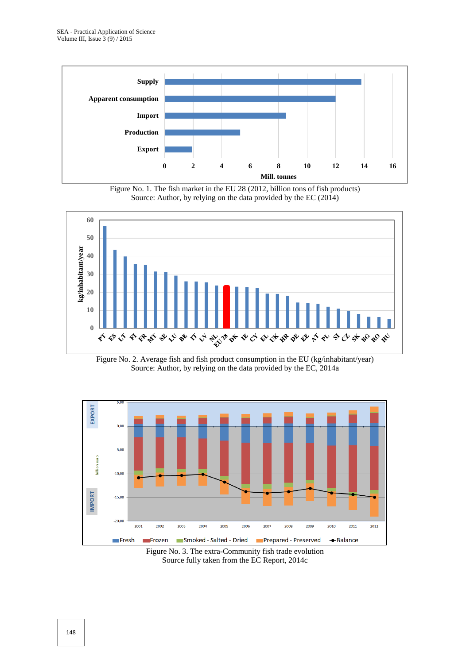

Figure No. 1. The fish market in the EU 28 (2012, billion tons of fish products) Source: Author, by relying on the data provided by the EC (2014)



Figure No. 2. Average fish and fish product consumption in the EU (kg/inhabitant/year) Source: Author, by relying on the data provided by the EC, 2014a



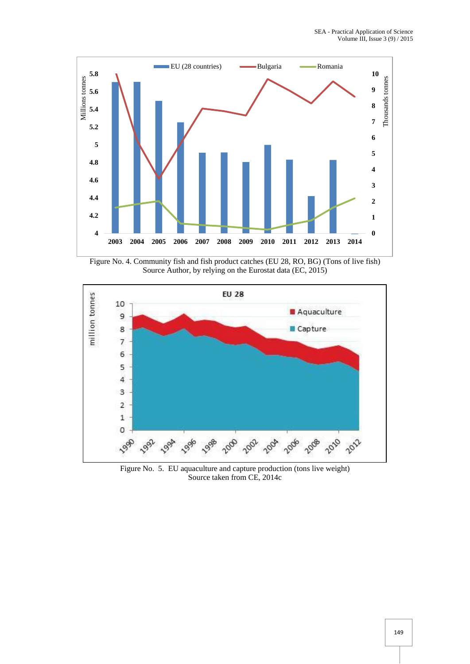

Figure No. 4. Community fish and fish product catches (EU 28, RO, BG) (Tons of live fish) Source Author, by relying on the Eurostat data (EC, 2015)



Figure No. 5. EU aquaculture and capture production (tons live weight) Source taken from CE, 2014c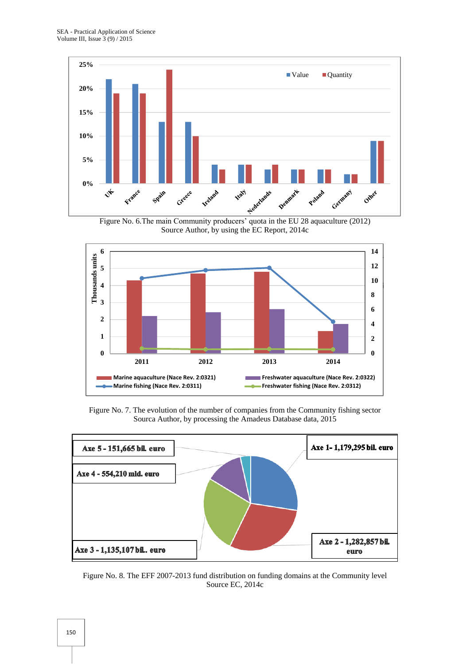

Source Author, by using the EC Report, 2014c



Figure No. 7. The evolution of the number of companies from the Community fishing sector Sourca Author, by processing the Amadeus Database data, 2015



Figure No. 8. The EFF 2007-2013 fund distribution on funding domains at the Community level Source EC, 2014c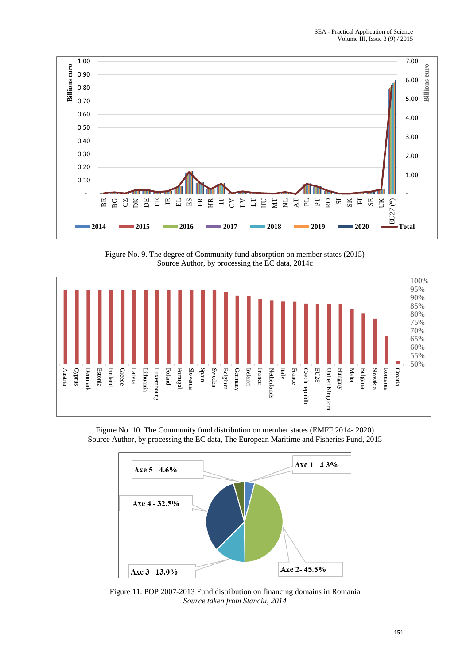

Figure No. 9. The degree of Community fund absorption on member states (2015) Source Author, by processing the EC data, 2014c



Figure No. 10. The Community fund distribution on member states (EMFF 2014- 2020) Source Author, by processing the EC data, The European Maritime and Fisheries Fund, 2015



Figure 11. POP 2007-2013 Fund distribution on financing domains in Romania *Source taken from Stanciu, 2014*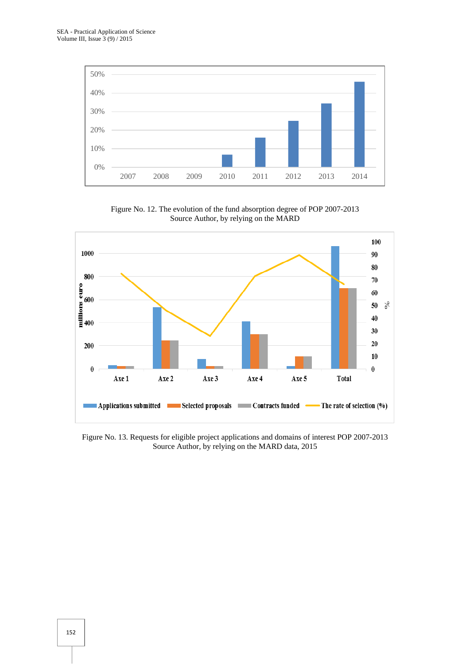

Figure No. 12. The evolution of the fund absorption degree of POP 2007-2013 Source Author, by relying on the MARD



Figure No. 13. Requests for eligible project applications and domains of interest POP 2007-2013 Source Author, by relying on the MARD data, 2015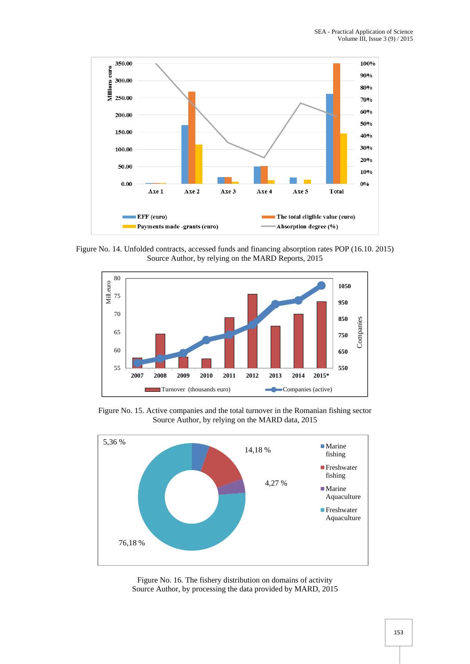

Figure No. 14. Unfolded contracts, accessed funds and financing absorption rates POP (16.10. 2015) Source Author, by relying on the MARD Reports, 2015



Figure No. 15. Active companies and the total turnover in the Romanian fishing sector Source Author, by relying on the MARD data, 2015



Figure No. 16. The fishery distribution on domains of activity Source Author, by processing the data provided by MARD, 2015